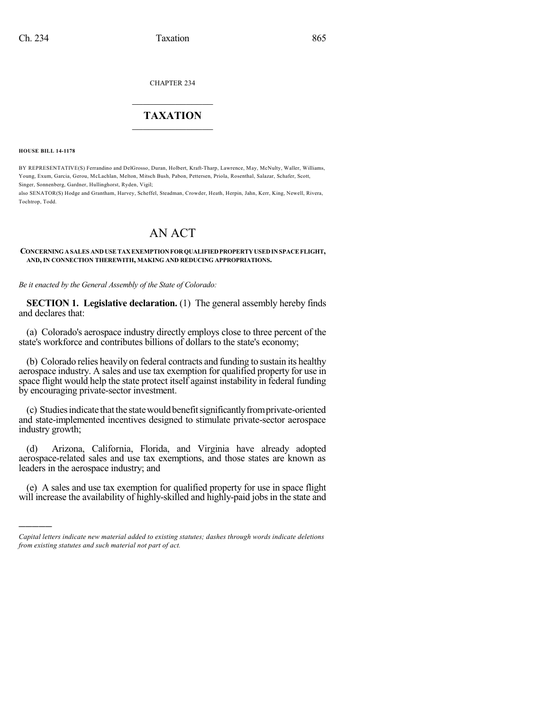CHAPTER 234

## $\overline{\phantom{a}}$  . The set of the set of the set of the set of the set of the set of the set of the set of the set of the set of the set of the set of the set of the set of the set of the set of the set of the set of the set o **TAXATION**  $\_$

**HOUSE BILL 14-1178**

)))))

BY REPRESENTATIVE(S) Ferrandino and DelGrosso, Duran, Holbert, Kraft-Tharp, Lawrence, May, McNulty, Waller, Williams, Young, Exum, Garcia, Gerou, McLachlan, Melton, Mitsch Bush, Pabon, Pettersen, Priola, Rosenthal, Salazar, Schafer, Scott, Singer, Sonnenberg, Gardner, Hullinghorst, Ryden, Vigil;

also SENATOR(S) Hodge and Grantham, Harvey, Scheffel, Steadman, Crowder, Heath, Herpin, Jahn, Kerr, King, Newell, Rivera, Tochtrop, Todd.

## AN ACT

**CONCERNINGASALES ANDUSETAXEXEMPTIONFORQUALIFIEDPROPERTYUSEDINSPACEFLIGHT, AND, IN CONNECTION THEREWITH, MAKING AND REDUCING APPROPRIATIONS.**

*Be it enacted by the General Assembly of the State of Colorado:*

**SECTION 1. Legislative declaration.** (1) The general assembly hereby finds and declares that:

(a) Colorado's aerospace industry directly employs close to three percent of the state's workforce and contributes billions of dollars to the state's economy;

(b) Colorado relies heavily on federal contracts and funding to sustain its healthy aerospace industry. A sales and use tax exemption for qualified property for use in space flight would help the state protect itself against instability in federal funding by encouraging private-sector investment.

(c) Studies indicate that the state would benefit significantly from private-oriented and state-implemented incentives designed to stimulate private-sector aerospace industry growth;

(d) Arizona, California, Florida, and Virginia have already adopted aerospace-related sales and use tax exemptions, and those states are known as leaders in the aerospace industry; and

(e) A sales and use tax exemption for qualified property for use in space flight will increase the availability of highly-skilled and highly-paid jobs in the state and

*Capital letters indicate new material added to existing statutes; dashes through words indicate deletions from existing statutes and such material not part of act.*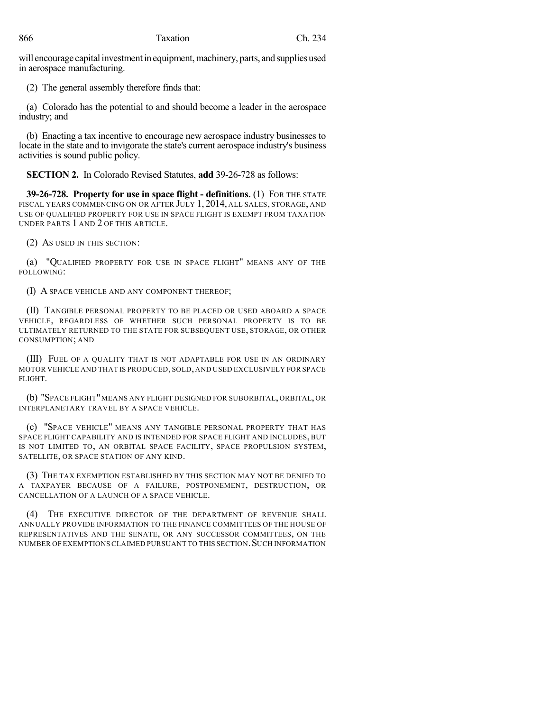will encourage capital investment in equipment, machinery, parts, and supplies used in aerospace manufacturing.

(2) The general assembly therefore finds that:

(a) Colorado has the potential to and should become a leader in the aerospace industry; and

(b) Enacting a tax incentive to encourage new aerospace industry businesses to locate in the state and to invigorate the state's current aerospace industry's business activities is sound public policy.

**SECTION 2.** In Colorado Revised Statutes, **add** 39-26-728 as follows:

**39-26-728. Property for use in space flight - definitions.** (1) FOR THE STATE FISCAL YEARS COMMENCING ON OR AFTER JULY 1, 2014, ALL SALES, STORAGE, AND USE OF QUALIFIED PROPERTY FOR USE IN SPACE FLIGHT IS EXEMPT FROM TAXATION UNDER PARTS 1 AND 2 OF THIS ARTICLE.

(2) AS USED IN THIS SECTION:

(a) "QUALIFIED PROPERTY FOR USE IN SPACE FLIGHT" MEANS ANY OF THE FOLLOWING:

(I) A SPACE VEHICLE AND ANY COMPONENT THEREOF;

(II) TANGIBLE PERSONAL PROPERTY TO BE PLACED OR USED ABOARD A SPACE VEHICLE, REGARDLESS OF WHETHER SUCH PERSONAL PROPERTY IS TO BE ULTIMATELY RETURNED TO THE STATE FOR SUBSEQUENT USE, STORAGE, OR OTHER CONSUMPTION; AND

(III) FUEL OF A QUALITY THAT IS NOT ADAPTABLE FOR USE IN AN ORDINARY MOTOR VEHICLE AND THAT IS PRODUCED, SOLD, AND USED EXCLUSIVELY FOR SPACE FLIGHT.

(b) "SPACE FLIGHT"MEANS ANY FLIGHT DESIGNED FOR SUBORBITAL, ORBITAL, OR INTERPLANETARY TRAVEL BY A SPACE VEHICLE.

(c) "SPACE VEHICLE" MEANS ANY TANGIBLE PERSONAL PROPERTY THAT HAS SPACE FLIGHT CAPABILITY AND IS INTENDED FOR SPACE FLIGHT AND INCLUDES, BUT IS NOT LIMITED TO, AN ORBITAL SPACE FACILITY, SPACE PROPULSION SYSTEM, SATELLITE, OR SPACE STATION OF ANY KIND.

(3) THE TAX EXEMPTION ESTABLISHED BY THIS SECTION MAY NOT BE DENIED TO A TAXPAYER BECAUSE OF A FAILURE, POSTPONEMENT, DESTRUCTION, OR CANCELLATION OF A LAUNCH OF A SPACE VEHICLE.

(4) THE EXECUTIVE DIRECTOR OF THE DEPARTMENT OF REVENUE SHALL ANNUALLY PROVIDE INFORMATION TO THE FINANCE COMMITTEES OF THE HOUSE OF REPRESENTATIVES AND THE SENATE, OR ANY SUCCESSOR COMMITTEES, ON THE NUMBER OF EXEMPTIONS CLAIMED PURSUANT TO THIS SECTION. SUCH INFORMATION